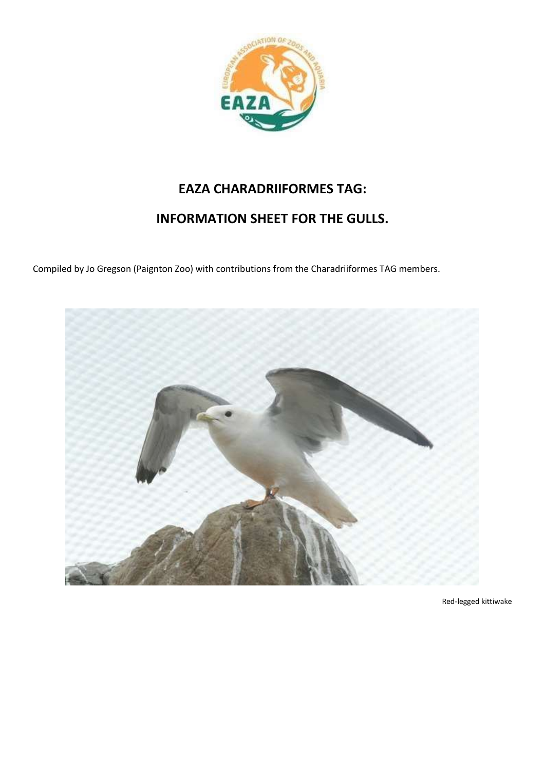

# **EAZA CHARADRIIFORMES TAG:**

# **INFORMATION SHEET FOR THE GULLS.**

Compiled by Jo Gregson (Paignton Zoo) with contributions from the Charadriiformes TAG members.



Red-legged kittiwake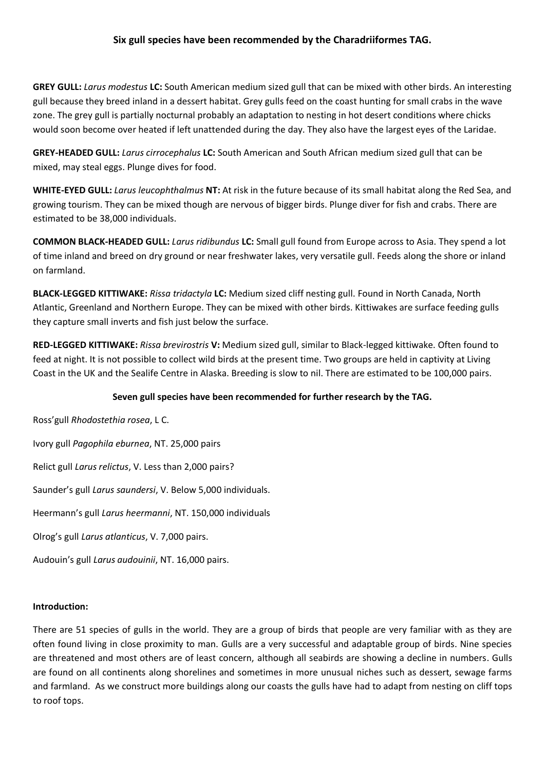# **Six gull species have been recommended by the Charadriiformes TAG.**

**GREY GULL:** *Larus modestus* **LC:** South American medium sized gull that can be mixed with other birds. An interesting gull because they breed inland in a dessert habitat. Grey gulls feed on the coast hunting for small crabs in the wave zone. The grey gull is partially nocturnal probably an adaptation to nesting in hot desert conditions where chicks would soon become over heated if left unattended during the day. They also have the largest eyes of the Laridae.

**GREY-HEADED GULL:** *Larus cirrocephalus* **LC:** South American and South African medium sized gull that can be mixed, may steal eggs. Plunge dives for food.

**WHITE-EYED GULL:** *Larus leucophthalmus* **NT:** At risk in the future because of its small habitat along the Red Sea, and growing tourism. They can be mixed though are nervous of bigger birds. Plunge diver for fish and crabs. There are estimated to be 38,000 individuals.

**COMMON BLACK-HEADED GULL:** *Larus ridibundus* **LC:** Small gull found from Europe across to Asia. They spend a lot of time inland and breed on dry ground or near freshwater lakes, very versatile gull. Feeds along the shore or inland on farmland.

**BLACK-LEGGED KITTIWAKE:** *Rissa tridactyla* **LC:** Medium sized cliff nesting gull. Found in North Canada, North Atlantic, Greenland and Northern Europe. They can be mixed with other birds. Kittiwakes are surface feeding gulls they capture small inverts and fish just below the surface.

**RED-LEGGED KITTIWAKE:** *Rissa brevirostris* **V:** Medium sized gull, similar to Black-legged kittiwake. Often found to feed at night. It is not possible to collect wild birds at the present time. Two groups are held in captivity at Living Coast in the UK and the Sealife Centre in Alaska. Breeding is slow to nil. There are estimated to be 100,000 pairs.

## **Seven gull species have been recommended for further research by the TAG.**

Ross'gull *Rhodostethia rosea*, L C.

Ivory gull *Pagophila eburnea*, NT. 25,000 pairs

Relict gull *Larus relictus*, V. Less than 2,000 pairs?

Saunder's gull *Larus saundersi*, V. Below 5,000 individuals.

Heermann's gull *Larus heermanni*, NT. 150,000 individuals

Olrog's gull *Larus atlanticus*, V. 7,000 pairs.

Audouin's gull *Larus audouinii*, NT. 16,000 pairs.

#### **Introduction:**

There are 51 species of gulls in the world. They are a group of birds that people are very familiar with as they are often found living in close proximity to man. Gulls are a very successful and adaptable group of birds. Nine species are threatened and most others are of least concern, although all seabirds are showing a decline in numbers. Gulls are found on all continents along shorelines and sometimes in more unusual niches such as dessert, sewage farms and farmland. As we construct more buildings along our coasts the gulls have had to adapt from nesting on cliff tops to roof tops.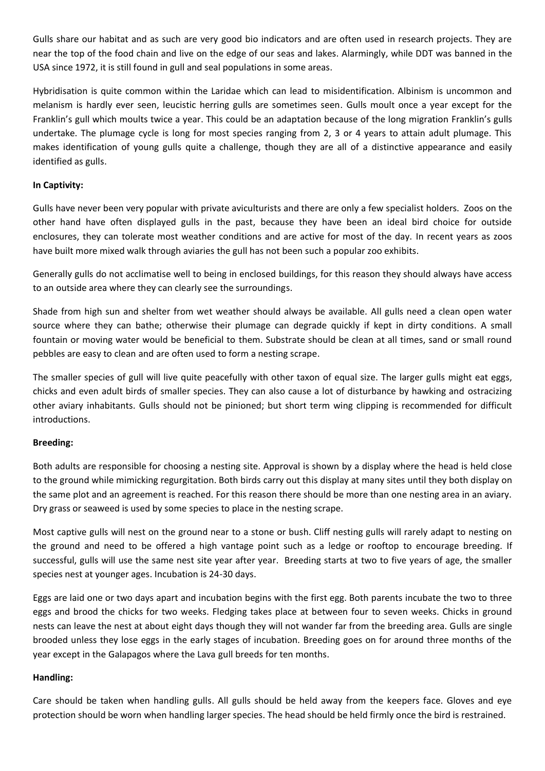Gulls share our habitat and as such are very good bio indicators and are often used in research projects. They are near the top of the food chain and live on the edge of our seas and lakes. Alarmingly, while DDT was banned in the USA since 1972, it is still found in gull and seal populations in some areas.

Hybridisation is quite common within the Laridae which can lead to misidentification. Albinism is uncommon and melanism is hardly ever seen, leucistic herring gulls are sometimes seen. Gulls moult once a year except for the Franklin's gull which moults twice a year. This could be an adaptation because of the long migration Franklin's gulls undertake. The plumage cycle is long for most species ranging from 2, 3 or 4 years to attain adult plumage. This makes identification of young gulls quite a challenge, though they are all of a distinctive appearance and easily identified as gulls.

### **In Captivity:**

Gulls have never been very popular with private aviculturists and there are only a few specialist holders. Zoos on the other hand have often displayed gulls in the past, because they have been an ideal bird choice for outside enclosures, they can tolerate most weather conditions and are active for most of the day. In recent years as zoos have built more mixed walk through aviaries the gull has not been such a popular zoo exhibits.

Generally gulls do not acclimatise well to being in enclosed buildings, for this reason they should always have access to an outside area where they can clearly see the surroundings.

Shade from high sun and shelter from wet weather should always be available. All gulls need a clean open water source where they can bathe; otherwise their plumage can degrade quickly if kept in dirty conditions. A small fountain or moving water would be beneficial to them. Substrate should be clean at all times, sand or small round pebbles are easy to clean and are often used to form a nesting scrape.

The smaller species of gull will live quite peacefully with other taxon of equal size. The larger gulls might eat eggs, chicks and even adult birds of smaller species. They can also cause a lot of disturbance by hawking and ostracizing other aviary inhabitants. Gulls should not be pinioned; but short term wing clipping is recommended for difficult introductions.

#### **Breeding:**

Both adults are responsible for choosing a nesting site. Approval is shown by a display where the head is held close to the ground while mimicking regurgitation. Both birds carry out this display at many sites until they both display on the same plot and an agreement is reached. For this reason there should be more than one nesting area in an aviary. Dry grass or seaweed is used by some species to place in the nesting scrape.

Most captive gulls will nest on the ground near to a stone or bush. Cliff nesting gulls will rarely adapt to nesting on the ground and need to be offered a high vantage point such as a ledge or rooftop to encourage breeding. If successful, gulls will use the same nest site year after year. Breeding starts at two to five years of age, the smaller species nest at younger ages. Incubation is 24-30 days.

Eggs are laid one or two days apart and incubation begins with the first egg. Both parents incubate the two to three eggs and brood the chicks for two weeks. Fledging takes place at between four to seven weeks. Chicks in ground nests can leave the nest at about eight days though they will not wander far from the breeding area. Gulls are single brooded unless they lose eggs in the early stages of incubation. Breeding goes on for around three months of the year except in the Galapagos where the Lava gull breeds for ten months.

#### **Handling:**

Care should be taken when handling gulls. All gulls should be held away from the keepers face. Gloves and eye protection should be worn when handling larger species. The head should be held firmly once the bird is restrained.